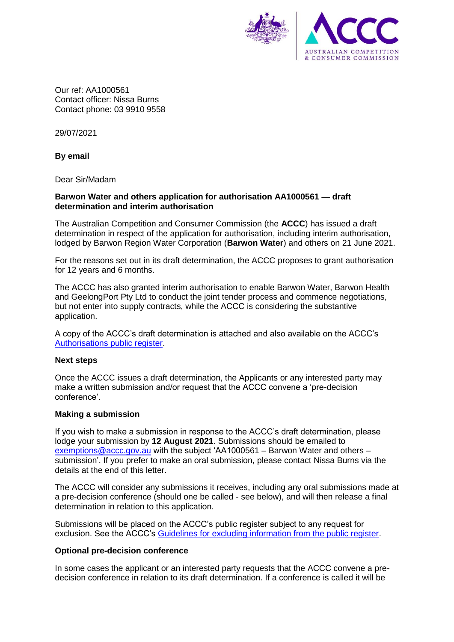

Our ref: AA1000561 Contact officer: Nissa Burns Contact phone: 03 9910 9558

29/07/2021

# **By email**

Dear Sir/Madam

# **Barwon Water and others application for authorisation AA1000561 — draft determination and interim authorisation**

The Australian Competition and Consumer Commission (the **ACCC**) has issued a draft determination in respect of the application for authorisation, including interim authorisation, lodged by Barwon Region Water Corporation (**Barwon Water**) and others on 21 June 2021.

For the reasons set out in its draft determination, the ACCC proposes to grant authorisation for 12 years and 6 months.

The ACCC has also granted interim authorisation to enable Barwon Water, Barwon Health and GeelongPort Pty Ltd to conduct the joint tender process and commence negotiations, but not enter into supply contracts, while the ACCC is considering the substantive application.

A copy of the ACCC's draft determination is attached and also available on the ACCC's [Authorisations public register.](https://www.accc.gov.au/public-registers/authorisations-and-notifications-registers/authorisations-register/barwon-water-ors)

## **Next steps**

Once the ACCC issues a draft determination, the Applicants or any interested party may make a written submission and/or request that the ACCC convene a 'pre-decision conference'.

## **Making a submission**

If you wish to make a submission in response to the ACCC's draft determination, please lodge your submission by **12 August 2021**. Submissions should be emailed to [exemptions@accc.gov.au](mailto:exemptions@accc.gov.au) with the subject 'AA1000561 – Barwon Water and others – submission'. If you prefer to make an oral submission, please contact Nissa Burns via the details at the end of this letter.

The ACCC will consider any submissions it receives, including any oral submissions made at a pre-decision conference (should one be called - see below), and will then release a final determination in relation to this application.

Submissions will be placed on the ACCC's public register subject to any request for exclusion. See the ACCC's [Guidelines for excluding information from the public register.](https://www.accc.gov.au/publications/guidelines-for-excluding-confidential-information-from-the-public-register-for-authorisation-and-notification-processes)

# **Optional pre-decision conference**

In some cases the applicant or an interested party requests that the ACCC convene a predecision conference in relation to its draft determination. If a conference is called it will be